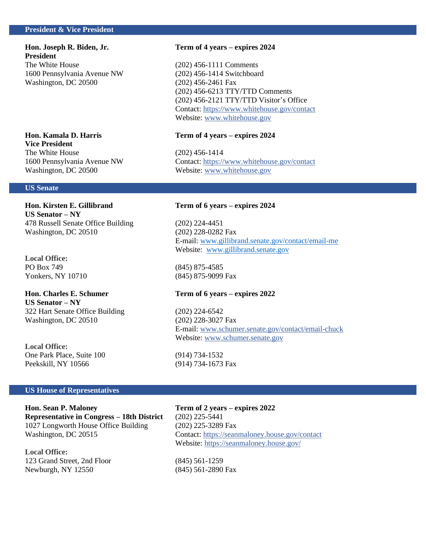# **President & Vice President**

**President** The White House (202) 456-1111 Comments 1600 Pennsylvania Avenue NW (202) 456-1414 Switchboard Washington, DC 20500 (202) 456-2461 Fax

# **Vice President** The White House (202) 456-1414

# **US Senate**

# **US Senator – NY**

478 Russell Senate Office Building (202) 224-4451 Washington, DC 20510 (202) 228-0282 Fax

**Local Office:** PO Box 749 (845) 875-4585 Yonkers, NY 10710 (845) 875-9099 Fax

**US Senator – NY** 322 Hart Senate Office Building (202) 224-6542 Washington, DC 20510 (202) 228-3027 Fax

**Local Office:** One Park Place, Suite 100 (914) 734-1532 Peekskill, NY 10566 (914) 734-1673 Fax

# **US House of Representatives**

**Representative in Congress – 18th District** (202) 225-5441 1027 Longworth House Office Building (202) 225-3289 Fax

**Local Office:** 123 Grand Street, 2nd Floor (845) 561-1259 Newburgh, NY 12550 (845) 561-2890 Fax

# **Hon. Joseph R. Biden, Jr. Term of 4 years – expires 2024**

(202) 456-6213 TTY/TTD Comments (202) 456-2121 TTY/TTD Visitor's Office Contact:<https://www.whitehouse.gov/contact> Website: [www.whitehouse.gov](http://www.whitehouse.gov/)

# **Hon. Kamala D. Harris Term of 4 years – expires 2024**

1600 Pennsylvania Avenue NW Contact:<https://www.whitehouse.gov/contact> Washington, DC 20500 Website: [www.whitehouse.gov](http://www.whitehouse.gov/)

# **Hon. Kirsten E. Gillibrand Term of 6 years – expires 2024**

E-mail[: www.gillibrand.senate.gov/contact/email-me](http://www.gillibrand.senate.gov/contact/email-me) Website: [www.gillibrand.senate.gov](http://www.gillibrand.senate.gov/)

# **Hon. Charles E. Schumer Term of 6 years – expires 2022**

E-mail[: www.schumer.senate.gov/](http://www.schumer.senate.gov/)contact/email-chuck Website: [www.schumer.senate.gov](http://www.schumer.senate.gov/)

**Hon. Sean P. Maloney Term of 2 years – expires 2022** Washington, DC 20515 Contact:<https://seanmaloney.house.gov/contact> Website:<https://seanmaloney.house.gov/>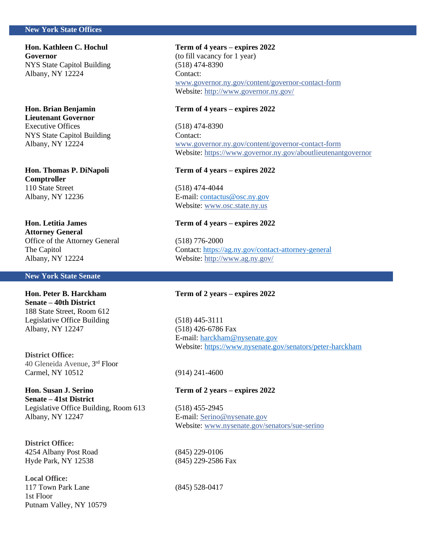# **New York State Offices**

**Governor** (to fill vacancy for 1 year) NYS State Capitol Building (518) 474-8390 Albany, NY 12224 Contact:

**Lieutenant Governor** Executive Offices (518) 474-8390 NYS State Capitol Building Contact:

**Comptroller** 110 State Street (518) 474-4044

**Hon. Letitia James Term of 4 years – expires 2022 Attorney General** Office of the Attorney General (518) 776-2000

# **New York State Senate**

**Senate – 40th District** 188 State Street, Room 612 Legislative Office Building (518) 445-3111 Albany, NY 12247 (518) 426-6786 Fax

**District Office:**  40 Gleneida Avenue, 3rd Floor Carmel, NY 10512 (914) 241-4600

**Hon. Susan J. Serino Term of 2 years – expires 2022 Senate – 41st District** Legislative Office Building, Room 613 (518) 455-2945 Albany, NY 12247 E-mail[: Serino@nysenate.gov](mailto:Serino@nysenate.gov)

**District Office:** 4254 Albany Post Road (845) 229-0106 Hyde Park, NY 12538 (845) 229-2586 Fax

**Local Office:** 117 Town Park Lane (845) 528-0417 1st Floor Putnam Valley, NY 10579

# **Hon. Kathleen C. Hochul Term of 4 years – expires 2022**

[www.governor.ny.gov/content/governor-contact-form](http://www.governor.ny.gov/content/governor-contact-form) Website:<http://www.governor.ny.gov/>

# **Hon. Brian Benjamin Term of 4 years – expires 2022**

Albany, NY 12224 [www.governor.ny.gov/content/governor-contact-form](http://www.governor.ny.gov/content/governor-contact-form) Website:<https://www.governor.ny.gov/aboutlieutenantgovernor>

# **Hon. Thomas P. DiNapoli Term of 4 years – expires 2022**

Albany, NY 12236 E-mail[: contactus@osc.ny.gov](mailto:contactus@osc.ny.gov) Website: [www.osc.state.ny.us](http://www.osc.state.ny.us/)

The Capitol Contact: <https://ag.ny.gov/contact-attorney-general> Albany, NY 12224 Website:<http://www.ag.ny.gov/>

# **Hon. Peter B. Harckham Term of 2 years – expires 2022**

E-mail[: harckham@nysenate.gov](mailto:harckham@nysenate.gov) Website:<https://www.nysenate.gov/senators/peter-harckham>

Website: [www.nysenate.gov/senators/sue-serino](http://www.nysenate.gov/senators/sue-serino)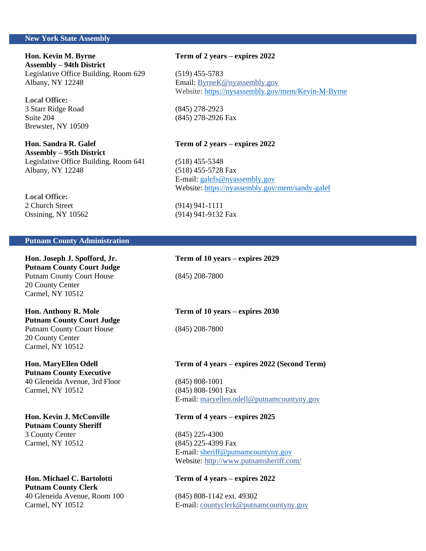# **New York State Assembly**

**Hon. Kevin M. Byrne Term of 2 years – expires 2022 Assembly – 94th District** Legislative Office Building, Room 629 (519) 455-5783 Albany, NY 12248 Email: [ByrneK@nyassembly.gov](mailto:ByrneK@nyassembly.gov)

**Local Office:** 3 Starr Ridge Road (845) 278-2923 Suite 204 (845) 278-2926 Fax Brewster, NY 10509

**Hon. Sandra R. Galef Term of 2 years – expires 2022 Assembly – 95th District** Legislative Office Building, Room 641 (518) 455-5348 Albany, NY 12248 (518) 455-5728 Fax

**Local Office:** 2 Church Street (914) 941-1111 Ossining, NY 10562 (914) 941-9132 Fax

**Pu**

# **Putnam County Administration**

**Hon. Joseph J. Spofford, Jr. Term of 10 years – expires 2029 Putnam County Court Judge** Putnam County Court House (845) 208-7800 20 County Center Carmel, NY 10512

**Putnam County Court Judge** Putnam County Court House (845) 208-7800 20 County Center Carmel, NY 10512

# **Putnam County Executive**

40 Gleneida Avenue, 3rd Floor (845) 808-1001 Carmel, NY 10512 (845) 808-1901 Fax

**Putnam County Sheriff** 3 County Center (845) 225-4300 Carmel, NY 10512 (845) 225-4399 Fax

**Hon. Michael C. Bartolotti Term of 4 years – expires 2022 Putnam County Clerk** 40 Gleneida Avenue, Room 100 (845) 808-1142 ext. 49302

Website:<https://nysassembly.gov/mem/Kevin-M-Byrne>

E-mail[: galefs@nyassembly.gov](mailto:galefs@nyassembly.gov)  Website:<https://nyassembly.gov/mem/sandy-galef>

# **Hon. Anthony R. Mole Term of 10 years – expires 2030**

# **Hon. MaryEllen Odell Term of 4 years – expires 2022 (Second Term)**

E-mail[: maryellen.odell@putnamcountyny.gov](mailto:maryellen.odell@putnamcountyny.gov)

# **Hon. Kevin J. McConville Term of 4 years – expires 2025**

E-mail[: sheriff@putnamcountyny.gov](mailto:sheriff@putnamcountyny.gov) Website:<http://www.putnamsheriff.com/>

Carmel, NY 10512 E-mail[: countyclerk@putnamcountyny.gov](mailto:countyclerk@putnamcountyny.gov)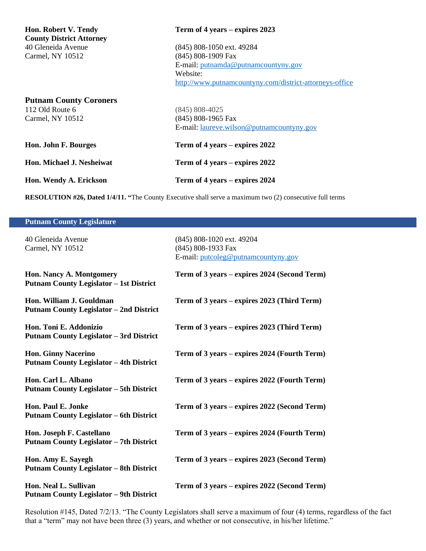| Hon. Robert V. Tendy<br><b>County District Attorney</b>              | Term of 4 years – expires 2023                                                                                                                                |
|----------------------------------------------------------------------|---------------------------------------------------------------------------------------------------------------------------------------------------------------|
| 40 Gleneida Avenue<br>Carmel, NY 10512                               | (845) 808-1050 ext. 49284<br>(845) 808-1909 Fax<br>E-mail: putnamda@putnamcountyny.gov<br>Website:<br>http://www.putnamcountyny.com/district-attorneys-office |
| <b>Putnam County Coroners</b><br>112 Old Route 6<br>Carmel, NY 10512 | $(845) 808 - 4025$<br>(845) 808-1965 Fax<br>E-mail: laureve.wilson@putnamcountyny.gov                                                                         |
| Hon. John F. Bourges                                                 | Term of 4 years – expires 2022                                                                                                                                |
| <b>Hon. Michael J. Nesheiwat</b>                                     | Term of 4 years – expires 2022                                                                                                                                |
| Hon. Wendy A. Erickson                                               | Term of 4 years – expires 2024                                                                                                                                |

**RESOLUTION #26, Dated 1/4/11. "**The County Executive shall serve a maximum two (2) consecutive full terms

| <b>Putnam County Legislature</b>                                             |                                                                                        |
|------------------------------------------------------------------------------|----------------------------------------------------------------------------------------|
| 40 Gleneida Avenue<br>Carmel, NY 10512                                       | (845) 808-1020 ext. 49204<br>(845) 808-1933 Fax<br>E-mail: putcoleg@putnamcountyny.gov |
| Hon. Nancy A. Montgomery<br><b>Putnam County Legislator - 1st District</b>   | Term of 3 years – expires 2024 (Second Term)                                           |
| Hon. William J. Gouldman<br><b>Putnam County Legislator – 2nd District</b>   | Term of 3 years – expires 2023 (Third Term)                                            |
| Hon. Toni E. Addonizio<br><b>Putnam County Legislator - 3rd District</b>     | Term of 3 years – expires 2023 (Third Term)                                            |
| <b>Hon. Ginny Nacerino</b><br><b>Putnam County Legislator - 4th District</b> | Term of 3 years – expires 2024 (Fourth Term)                                           |
| Hon. Carl L. Albano<br><b>Putnam County Legislator - 5th District</b>        | Term of 3 years – expires 2022 (Fourth Term)                                           |
| Hon. Paul E. Jonke<br><b>Putnam County Legislator – 6th District</b>         | Term of 3 years – expires 2022 (Second Term)                                           |
| Hon. Joseph F. Castellano<br><b>Putnam County Legislator - 7th District</b>  | Term of 3 years - expires 2024 (Fourth Term)                                           |
| Hon. Amy E. Sayegh<br><b>Putnam County Legislator - 8th District</b>         | Term of 3 years – expires 2023 (Second Term)                                           |
| Hon. Neal L. Sullivan<br><b>Putnam County Legislator - 9th District</b>      | Term of 3 years – expires 2022 (Second Term)                                           |
|                                                                              |                                                                                        |

Resolution #145, Dated 7/2/13. "The County Legislators shall serve a maximum of four (4) terms, regardless of the fact that a "term" may not have been three (3) years, and whether or not consecutive, in his/her lifetime."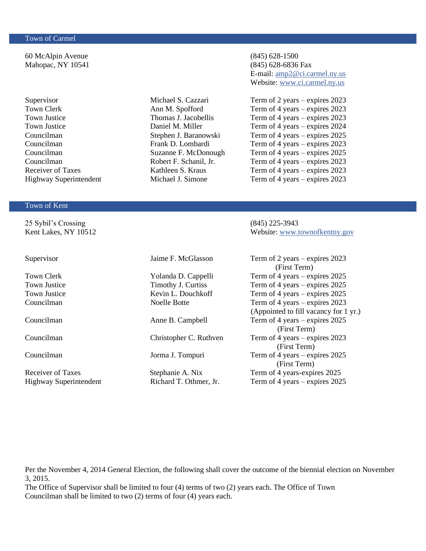# Town of Carmel

60 McAlpin Avenue (845) 628-1500 Mahopac, NY 10541 (845) 628-6836 Fax

# Town of Kent

25 Sybil's Crossing (845) 225-3943

Supervisor Jaime F. McGlasson Term of 2 years – expires 2023 (First Term) Town Clerk Yolanda D. Cappelli Term of 4 years – expires 2025 Town Justice Timothy J. Curtiss Term of 4 years – expires 2025 Town Justice Kevin L. Douchkoff Term of 4 years – expires 2025 Councilman Noelle Botte Term of 4 years – expires 2023 (Appointed to fill vacancy for 1 yr.) Councilman Anne B. Campbell Term of 4 years – expires 2025 (First Term) Councilman Christopher C. Ruthven Term of 4 years – expires 2023 (First Term) Councilman Jorma J. Tompuri Term of 4 years – expires 2025 (First Term)

Highway Superintendent Richard T. Othmer, Jr. Term of 4 years – expires 2025

E-mail[: amp2@ci.carmel.ny.us](mailto:amp2@ci.carmel.ny.us) Website: [www.ci.carmel.ny.us](http://www.ci.carmel.ny.us/)

Supervisor Michael S. Cazzari Term of 2 years – expires 2023 Town Clerk Ann M. Spofford Term of 4 years – expires 2023 Town Justice Thomas J. Jacobellis Term of 4 years – expires 2023 Town Justice Daniel M. Miller Term of 4 years – expires 2024 Councilman Stephen J. Baranowski Term of 4 years – expires 2025 Councilman Frank D. Lombardi Term of 4 years – expires 2023 Councilman Suzanne F. McDonough Term of 4 years – expires 2025 Councilman Robert F. Schanil, Jr. Term of 4 years – expires 2023 Receiver of Taxes Kathleen S. Kraus Term of 4 years – expires 2023 Highway Superintendent Michael J. Simone Term of 4 years – expires 2023

Kent Lakes, NY 10512 Website: www.townofkentny.gov

Per the November 4, 2014 General Election, the following shall cover the outcome of the biennial election on November 3, 2015.

The Office of Supervisor shall be limited to four (4) terms of two (2) years each. The Office of Town Councilman shall be limited to two (2) terms of four (4) years each.

# Receiver of Taxes Stephanie A. Nix Term of 4 years-expires 2025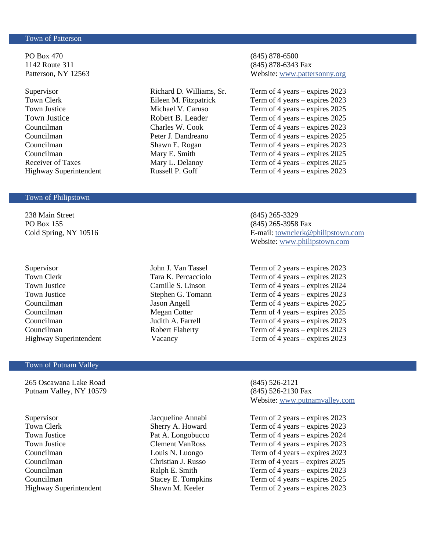# Town of Patterson

PO Box 470 (845) 878-6500 1142 Route 311 (845) 878-6343 Fax

# Town of Philipstown

238 Main Street (845) 265-3329 PO Box 155 (845) 265-3958 Fax

# Town of Putnam Valley

265 Oscawana Lake Road (845) 526-2121 Putnam Valley, NY 10579 (845) 526-2130 Fax

Patterson, NY 12563 Website: [www.pattersonny.org](http://www.pattersonny.org/)

Supervisor Richard D. Williams, Sr. Term of 4 years – expires 2023 Town Clerk Eileen M. Fitzpatrick Term of 4 years – expires 2023 Town Justice Michael V. Caruso Term of 4 years – expires 2025 Town Justice Robert B. Leader Term of 4 years – expires 2025 Councilman Charles W. Cook Term of 4 years – expires 2023 Councilman Peter J. Dandreano Term of 4 years – expires 2025 Councilman Shawn E. Rogan Term of 4 years – expires 2023 Councilman Mary E. Smith Term of 4 years – expires 2025 Receiver of Taxes Mary L. Delanoy Term of 4 years – expires 2025 Highway Superintendent Russell P. Goff Term of 4 years – expires 2023

Cold Spring, NY 10516 E-mail[: townclerk@philipstown.com](mailto:townclerk@philipstown.com) Website: [www.philipstown.com](http://www.philipstown.com/)

Supervisor John J. Van Tassel Term of 2 years – expires 2023 Town Clerk Tara K. Percacciolo Term of 4 years – expires 2023 Town Justice Camille S. Linson Term of 4 years – expires 2024 Town Justice Stephen G. Tomann Term of 4 years – expires 2023 Councilman Jason Angell Term of 4 years – expires 2025 Councilman Megan Cotter Term of 4 years – expires 2025 Councilman Judith A. Farrell Term of 4 years – expires 2023 Councilman Robert Flaherty Term of 4 years – expires 2023 Highway Superintendent Vacancy Vacancy Term of 4 years – expires 2023

Website: [www.putnamvalley.com](http://www.putnamvalley.com/)

Supervisor Jacqueline Annabi Term of 2 years – expires 2023 Town Clerk Sherry A. Howard Term of 4 years – expires 2023 Town Justice Pat A. Longobucco Term of 4 years – expires 2024 Town Justice Clement VanRoss Term of 4 years – expires 2023 Councilman Louis N. Luongo Term of 4 years – expires 2023 Councilman Christian J. Russo Term of 4 years – expires 2025 Councilman Ralph E. Smith Term of 4 years – expires 2023 Councilman Stacey E. Tompkins Term of 4 years – expires 2025 Highway Superintendent Shawn M. Keeler Term of 2 years – expires 2023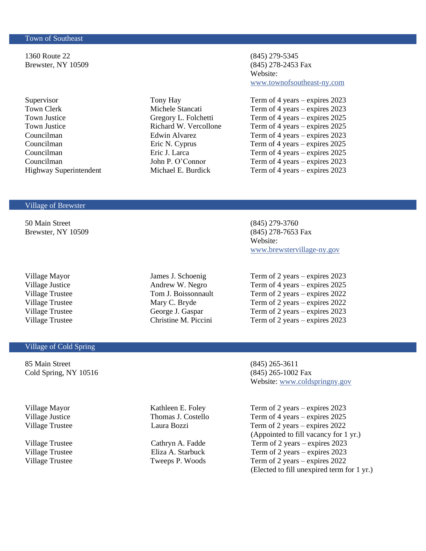# Town of Southeast

Ι

1360 Route 22 (845) 279-5345 Brewster, NY 10509 (845) 278-2453 Fax

# Website: [www.townofsoutheast-ny.com](http://www.townofsoutheast-ny.com/)

Supervisor Tony Hay Term of 4 years – expires 2023 Town Clerk Michele Stancati Term of 4 years – expires 2023 Town Justice Gregory L. Folchetti Term of 4 years – expires 2025<br>Town Justice Richard W. Vercollone Term of 4 years – expires 2025 Town Justice Richard W. Vercollone Term of 4 years – expires 2025 Councilman Edwin Alvarez Term of 4 years – expires 2023 Councilman Eric N. Cyprus Term of 4 years – expires 2025 Councilman Eric J. Larca Term of 4 years – expires 2025 Councilman John P. O'Connor Term of 4 years – expires 2023 Highway Superintendent Michael E. Burdick Term of 4 years – expires 2023

## Village of Brewster

50 Main Street (845) 279-3760 Brewster, NY 10509 (845) 278-7653 Fax

# Village of Cold Spring

85 Main Street (845) 265-3611 Cold Spring, NY 10516 (845) 265-1002 Fax

Website: [www.brewstervillage-ny.gov](http://www.brewstervillage-ny.gov/)

Village Mayor **James J.** Schoenig Term of 2 years – expires 2023 Village Justice Andrew W. Negro Term of 4 years – expires 2025 Village Trustee Tom J. Boissonnault Term of 2 years – expires 2022 Village Trustee Mary C. Bryde Term of 2 years – expires 2022 Village Trustee George J. Gaspar Term of 2 years – expires 2023 Village Trustee Christine M. Piccini Term of 2 years – expires 2023

Website: [www.coldspringny.gov](http://www.coldspringny.gov/)

Village Mayor **Kathleen E. Foley** Term of 2 years – expires 2023 Village Justice Thomas J. Costello Term of 4 years – expires 2025 Village Trustee Laura Bozzi Term of 2 years – expires 2022 (Appointed to fill vacancy for 1 yr.)

Village Trustee Cathryn A. Fadde Term of 2 years – expires 2023 Village Trustee Eliza A. Starbuck Term of 2 years – expires 2023 Village Trustee Tweeps P. Woods Term of 2 years – expires 2022 (Elected to fill unexpired term for 1 yr.)